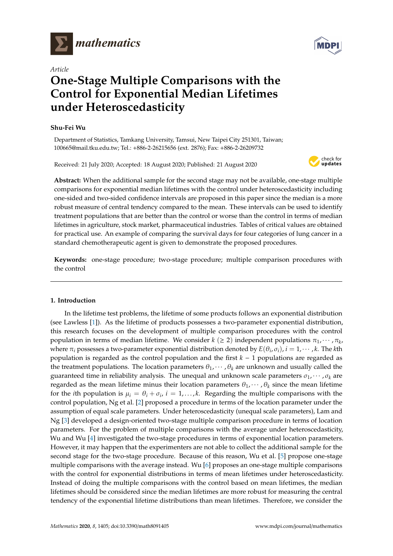

*Article*

# **One-Stage Multiple Comparisons with the Control for Exponential Median Lifetimes under Heteroscedasticity**

## **Shu-Fei Wu**

Department of Statistics, Tamkang University, Tamsui, New Taipei City 251301, Taiwan; 100665@mail.tku.edu.tw; Tel.: +886-2-26215656 (ext. 2876); Fax: +886-2-26209732

Received: 21 July 2020; Accepted: 18 August 2020; Published: 21 August 2020



**Abstract:** When the additional sample for the second stage may not be available, one-stage multiple comparisons for exponential median lifetimes with the control under heteroscedasticity including one-sided and two-sided confidence intervals are proposed in this paper since the median is a more robust measure of central tendency compared to the mean. These intervals can be used to identify treatment populations that are better than the control or worse than the control in terms of median lifetimes in agriculture, stock market, pharmaceutical industries. Tables of critical values are obtained for practical use. An example of comparing the survival days for four categories of lung cancer in a standard chemotherapeutic agent is given to demonstrate the proposed procedures.

**Keywords:** one-stage procedure; two-stage procedure; multiple comparison procedures with the control

# **1. Introduction**

In the lifetime test problems, the lifetime of some products follows an exponential distribution (see Lawless [\[1\]](#page-8-0)). As the lifetime of products possesses a two-parameter exponential distribution, this research focuses on the development of multiple comparison procedures with the control population in terms of median lifetime. We consider  $k$  ( $\geq$  2) independent populations  $\pi_1, \cdots, \pi_k$ where  $\pi_i$  possesses a two-parameter exponential distribution denoted by  $E(\theta_i, \sigma_i)$ ,  $i = 1, \cdots, k$ . The *k*th population is regarded as the control population and the first *k* − 1 populations are regarded as the treatment populations. The location parameters  $\theta_1, \dots, \theta_k$  are unknown and usually called the guaranteed time in reliability analysis. The unequal and unknown scale parameters  $\sigma_1, \cdots, \sigma_k$  are regarded as the mean lifetime minus their location parameters  $\theta_1, \dots, \theta_k$  since the mean lifetime for the *i*th population is  $\mu_i = \theta_i + \sigma_i$ ,  $i = 1,...,k$ . Regarding the multiple comparisons with the control population, Ng et al. [\[2\]](#page-8-1) proposed a procedure in terms of the location parameter under the assumption of equal scale parameters. Under heteroscedasticity (unequal scale parameters), Lam and Ng [\[3\]](#page-8-2) developed a design-oriented two-stage multiple comparison procedure in terms of location parameters. For the problem of multiple comparisons with the average under heteroscedasticity, Wu and Wu [\[4\]](#page-8-3) investigated the two-stage procedures in terms of exponential location parameters. However, it may happen that the experimenters are not able to collect the additional sample for the second stage for the two-stage procedure. Because of this reason, Wu et al. [\[5\]](#page-8-4) propose one-stage multiple comparisons with the average instead. Wu [\[6\]](#page-8-5) proposes an one-stage multiple comparisons with the control for exponential distributions in terms of mean lifetimes under heteroscedasticity. Instead of doing the multiple comparisons with the control based on mean lifetimes, the median lifetimes should be considered since the median lifetimes are more robust for measuring the central tendency of the exponential lifetime distributions than mean lifetimes. Therefore, we consider the

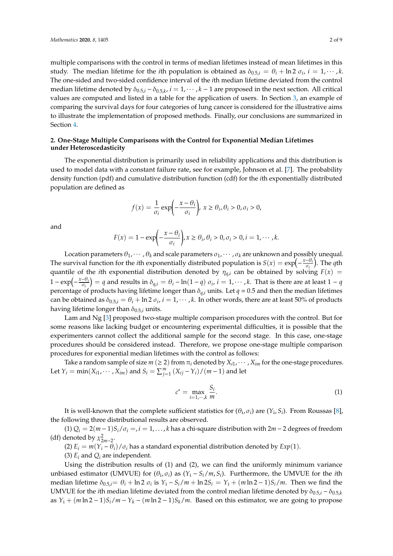multiple comparisons with the control in terms of median lifetimes instead of mean lifetimes in this study. The median lifetime for the *i*th population is obtained as  $\delta_{0.5,i} = \theta_i + \ln 2 \sigma_i$ ,  $i = 1, \dots, k$ . The one-sided and two-sided confidence interval of the *i*th median lifetime deviated from the control median lifetime denoted by  $\delta_{0.5,i} - \delta_{0.5,k}$ ,  $i = 1, \cdots, k-1$  are proposed in the next section. All critical values are computed and listed in a table for the application of users. In Section [3,](#page-6-0) an example of comparing the survival days for four categories of lung cancer is considered for the illustrative aims to illustrate the implementation of proposed methods. Finally, our conclusions are summarized in Section [4.](#page-7-0)

## **2. One-Stage Multiple Comparisons with the Control for Exponential Median Lifetimes under Heteroscedasticity**

The exponential distribution is primarily used in reliability applications and this distribution is used to model data with a constant failure rate, see for example, Johnson et al. [\[7\]](#page-8-6). The probability density function (pdf) and cumulative distribution function (cdf) for the *i*th exponentially distributed population are defined as

$$
f(x) = \frac{1}{\sigma_i} \exp\left(-\frac{x - \theta_i}{\sigma_i}\right), \ x \ge \theta_i, \theta_i > 0, \sigma_i > 0,
$$

and

$$
F(x) = 1 - \exp\left(-\frac{x - \theta_i}{\sigma_i}\right), x \ge \theta_i, \theta_i > 0, \sigma_i > 0, i = 1, \cdots, k.
$$

Location parameters  $\theta_1, \dots, \theta_k$  and scale parameters  $\sigma_1, \dots, \sigma_k$  are unknown and possibly unequal. The survival function for the *i*th exponentially distributed population is  $S(x) = \exp(-\frac{x-\theta_i}{\sigma_i})$  $\left(\frac{\partial}{\partial i}\right)$ . The *q*th quantile of the *i*th exponential distribution denoted by  $\eta_{q,i}$  can be obtained by solving  $F(x)$  =  $1 - \exp\left(-\frac{x-\theta_i}{\sigma_i}\right)$  $\left(\frac{-\theta_i}{\sigma_i}\right)$  = *q* and results in δ<sub>*q,i*</sub> = θ*i* − ln(1 − *q*) σ*i, i* = 1, · · · , *k*. That is there are at least 1 − *q* percentage of products having lifetime longer than  $\delta_{q,i}$  units. Let  $q = 0.5$  and then the median lifetimes can be obtained as  $\delta_{0.5,i} = \theta_i + \ln 2 \sigma_i$ ,  $i = 1, \dots, k$ . In other words, there are at least 50% of products having lifetime longer than  $\delta_{0.5,i}$  units.

Lam and Ng [\[3\]](#page-8-2) proposed two-stage multiple comparison procedures with the control. But for some reasons like lacking budget or encountering experimental difficulties, it is possible that the experimenters cannot collect the additional sample for the second stage. In this case, one-stage procedures should be considered instead. Therefore, we propose one-stage multiple comparison procedures for exponential median lifetimes with the control as follows:

Take a random sample of size  $m$  ( $\geq$  2) from  $\pi$ *i* denoted by  $X_{i1}, \cdots, X_{im}$  for the one-stage procedures. Let  $Y_i = \min(X_{i1}, \dots, X_{im})$  and  $S_i = \sum_{j=1}^m (X_{ij} - Y_i)/(m-1)$  and let

$$
c^* = \max_{i=1,\cdots,k} \frac{S_i}{m}.\tag{1}
$$

It is well-known that the complete sufficient statistics for  $(\theta_i, \sigma_i)$  are  $(Y_i, S_i)$ . From Roussas [\[8\]](#page-8-7), the following three distributional results are observed.

(1)  $Q_i = 2(m − 1)S_i / \sigma_i = i = 1, \ldots, k$  has a chi-square distribution with  $2m − 2$  degrees of freedom (df) denoted by  $\chi^2_{2m-2}$ .

(2)  $E_i = m(Y_i - \theta_i)/\sigma_i$  has a standard exponential distribution denoted by  $Exp(1)$ .

(3)  $E_i$  and  $Q_i$  are independent.

Using the distribution results of (1) and (2), we can find the uniformly minimum variance unbiased estimator (UMVUE) for  $(\theta_i, \sigma_i)$  as  $(Y_i - S_i/m, S_i)$ . Furthermore, the UMVUE for the *i*th median lifetime  $\delta_{0.5,i} = \theta_i + \ln 2 \sigma_i$  is  $Y_i - S_i/m + \ln 2S_i = Y_i + (m \ln 2 - 1)S_i/m$ . Then we find the UMVUE for the *i*th median lifetime deviated from the control median lifetime denoted by  $\delta_{0.5,i} - \delta_{0.5,k}$ as  $Y_i + (m \ln 2 - 1)S_i/m - Y_k - (m \ln 2 - 1)S_k/m$ . Based on this estimator, we are going to propose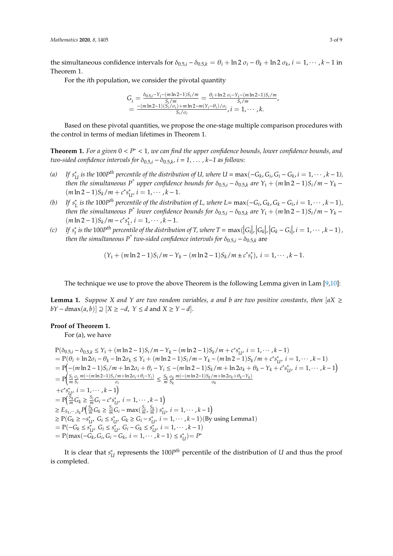the simultaneous confidence intervals for  $\delta_{0.5,i} - \delta_{0.5,k} = \theta_i + \ln 2 \sigma_i - \theta_k + \ln 2 \sigma_k$ ,  $i = 1, \dots, k-1$  in Theorem 1.

For the *i*th population, we consider the pivotal quantity

$$
G_i = \frac{\delta_{0.5,i} - Y_i - (m \ln 2 - 1)S_i/m}{S_i/m} = \frac{\theta_i + \ln 2 \sigma_i - Y_i - (m \ln 2 - 1)S_i/m}{S_i/m},
$$
  
= 
$$
\frac{-(m \ln 2 - 1)(S_i/\sigma_i) + m \ln 2 - m(Y_i - \theta_i)/\sigma_i}{S_i/\sigma_i}, i = 1, \cdots, k.
$$

Based on these pivotal quantities, we propose the one-stage multiple comparison procedures with the control in terms of median lifetimes in Theorem 1.

**Theorem 1.** *For a given* 0 < *P* <sup>∗</sup> < 1*, we can find the upper confidence bounds, lower confidence bounds, and two-sided confidence intervals for*  $\delta_{0.5,i} - \delta_{0.5,k}$ ,  $i = 1, \ldots, k-1$  as follows:

- $(a)$  *If*  $s_i^*$ *U* is the 100P<sup>th</sup> percentile of the distribution of U, where U = max(−*G*<sub>k</sub>, *G*<sub>i</sub>, *G*<sub>i</sub> − *G*<sub>k</sub>, i = 1, · · · , k − 1), *then the simultaneous*  $P^*$  *upper confidence bounds for*  $\delta_{0.5,i} - \delta_{0.5,k}$  *are*  $Y_i + (m \ln 2 - 1)S_i/m - Y_k$  −  $(m \ln 2 - 1)S_k/m + c^* s_l^*$  $U'_{U'}$  *i* = 1,  $\cdots$  , *k* – 1.
- (*b*) *If*  $s_I^*$  $L$  *is the* 100*P*<sup>th</sup> percentile of the distribution of L, where L= max(−*G*<sub>*i*</sub>, *G*<sub>*k*</sub>, *G*<sub>*k*</sub> − *G*<sub>*i*</sub>, *i* = 1, · · · , *k* − 1)*, then the simultaneous*  $P^*$  *lower confidence bounds for*  $\delta_{0.5,i} - \delta_{0.5,k}$  *are*  $Y_i + (m \ln 2 - 1)S_i/m - Y_k$  $(m \ln 2 - 1)S_k/m - c^* s_l^*$  $L^i$ ,  $i = 1, \cdots, k-1$ .
- $(c)$  *If*  $s_t^*$ <sup>\*</sup> is the 100P<sup>th</sup> percentile of the distribution of T, where  $T = \max(|G_i|, |G_k|, |G_k - G_i|, i = 1, \dots, k - 1)$ , *then the simultaneous*  $P^*$  *two-sided confidence intervals for*  $\delta_{0.5,i} - \delta_{0.5,k}$  *are*

$$
(Y_i + (m \ln 2 - 1)S_i/m - Y_k - (m \ln 2 - 1)S_k/m \pm c^*s_i^*), i = 1, \cdots, k - 1.
$$

The technique we use to prove the above Theorem is the following Lemma given in Lam [\[9](#page-8-8)[,10\]](#page-8-9):

**Lemma 1.** *Suppose X and Y are two random variables, a and b are two positive constants, then*  $|aX| \ge$  $bY - d\max(a, b) \supseteq [X \geq -d, Y \leq d \text{ and } X \geq Y - d].$ 

#### **Proof of Theorem 1.**

For (a), we have

 $P(\delta_{0.5,i} - \delta_{0.5,k} \leq Y_i + (m \ln 2 - 1)S_i / m - Y_k - (m \ln 2 - 1)S_k / m + c^* s_i^*$  $U'_{U'}$  *i* = 1,  $\cdots$  , *k* − 1)  $= P(\theta_i + \ln 2\sigma_i - \theta_k - \ln 2\sigma_k \leq Y_i + (m \ln 2 - 1)S_i / m - Y_k - (m \ln 2 - 1)S_k / m + c^* s_i^*$  $U^*$  *i* = 1,  $\cdots$  , *k* − 1)  $= P(-(m \ln 2 - 1)S_i/m + \ln 2\sigma_i + \theta_i - Y_i \leq -(m \ln 2 - 1)S_k/m + \ln 2\sigma_k + \theta_k - Y_k + c^*s^*$  $U^*_{U'}$  *i* = 1,  $\cdots$  , *k* – 1)  $= P\left(\frac{S_i}{m} \frac{\sigma_i}{S_i}\right)$ *Si*  $m(-(m \ln 2 - 1)S_i/m + \ln 2\sigma_i + \theta_i - Y_i)$  $\frac{\sqrt{m + \ln 2\sigma_i + \theta_i - Y_i}}{\sigma_i} \leq \frac{S_k}{m} \frac{\sigma_k}{S_k}$ *Sk*  $m(-(m ln 2−1)S_k/m + ln 2σ_k + θ_k - Y_k)$ σ*k*  $+c^*s^*_1$  $\bigcup_{M}^{*} i = 1, \cdots, k-1 \big)$  $= P\left(\frac{S_k}{m}G_k \geq \frac{S_i}{m}G_i - c^*s_l^*\right)$  $U_i^*$ ,  $i = 1, \cdots, k-1$  $\geq E_{S_1, \dots, S_k} P\left(\frac{S_k}{m} G_k \geq \frac{S_i}{m} G_i - \max(\frac{S_i}{m}, \frac{S_k}{m}) s_0^* \right)$  $U^*_{U'}$  *i* = 1,  $\cdots$  , *k* – 1)  $\geq P(G_k \geq -s_l^*$  $U^*$ , *G*<sub>*i*</sub> ≤ *s*<sup>\*</sup><sub>*i*</sub>  $C_{U}$ <sup>*u*</sup></sup>*, G<sub><i>k*</sub> ≥ *G*<sub>*i*</sub> − *s*<sup>\*</sup><sub>*i*</sub></sup>  $U_{U'}^{*}$  *i* = 1, · · · , *k* − 1)(By using Lemma1)  $= P(-G_k \leq s_l^*$  $U$ <sup>*i*</sup>,  $G_i \leq s_i^*$  $U$ <sup>*u*</sup></sup>, *G*<sub>*i*</sub> − *G*<sub>*k*</sub> ≤ *s*<sup><sup>u</sup></sup><sub>*i*</sub></sub>  $\sum_{i=1}^{k} i = 1, \cdots, k-1$  $= P(\max(-G_k, G_i, G_i - G_k, i = 1, \cdots, k-1) \leq s_i^*$  $U^*U = P^*$ 

It is clear that *s*<sup>\*</sup><sub>1</sub>  $U<sub>U</sub>$  represents the 100*P*<sup>th</sup> percentile of the distribution of *U* and thus the proof is completed.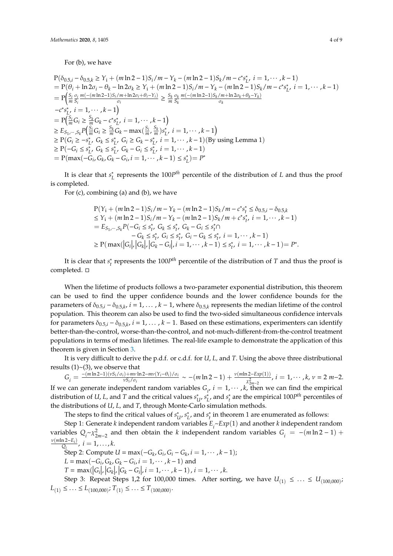For (b), we have

$$
P(\delta_{0.5,i} - \delta_{0.5,k} \ge Y_i + (m \ln 2 - 1)S_i/m - Y_k - (m \ln 2 - 1)S_k/m - c^*s_L^*, i = 1, \dots, k - 1)
$$
  
=  $P(\theta_i + \ln 2\sigma_i - \theta_k - \ln 2\sigma_k \ge Y_i + (m \ln 2 - 1)S_i/m - Y_k - (m \ln 2 - 1)S_k/m - c^*s_L^*, i = 1, \dots, k - 1)$   
=  $P\left(\frac{S_i}{m} \frac{\sigma_i}{S_i} \frac{m(-m \ln 2 - 1)S_i/m + \ln 2\sigma_i + \theta_i - Y_i)}{\sigma_i} \ge \frac{S_k}{m} \frac{\sigma_k}{S_k} \frac{m(-(m \ln 2 - 1)S_k/m + \ln 2\sigma_k + \theta_k - Y_k)}{\sigma_k}$   
-c^\*s\_L^\*, i = 1, \dots, k - 1)  
=  $P\left(\frac{S_i}{m} G_i \ge \frac{S_k}{m} G_k - c^*s_L^*, i = 1, \dots, k - 1\right)$   
 $\ge E_{S_1, \dots, S_k} P\left(\frac{S_i}{m} G_i \ge \frac{S_k}{m} G_k - \max(\frac{S_i}{m}, \frac{S_k}{m})s_L^*, i = 1, \dots, k - 1\right)$   
 $\ge P(G_i \ge -s_L^*, G_k \le s_L^*, G_i \ge G_k - s_L^*, i = 1, \dots, k - 1)$  (By using Lemma 1)  
 $\ge P(-G_i \le s_L^*, G_k \le s_L^*, G_k - G_i \le s_L^*, i = 1, \dots, k - 1)$   
=  $P(\max(-G_i, G_k, G_k - G_i, i = 1, \dots, k - 1) \le s_L^*) = P^*$ 

It is clear that *s*<sup>\*</sup><sub>*I*</sub>  $L<sub>L</sub>$  represents the 100*P*<sup>th</sup> percentile of the distribution of *L* and thus the proof is completed.

For (c), combining (a) and (b), we have

$$
P(Y_i + (m \ln 2 - 1)S_i / m - Y_k - (m \ln 2 - 1)S_k / m - c^* s_t^* \le \delta_{0.5, i} - \delta_{0.5, k}
$$
  
\n
$$
\le Y_i + (m \ln 2 - 1)S_i / m - Y_k - (m \ln 2 - 1)S_k / m + c^* s_t^*, i = 1, \dots, k - 1)
$$
  
\n
$$
= E_{S_1, \dots, S_k} P(-G_i \le s_t^*, G_k \le s_t^*, G_k - G_i \le s_t^* \cap
$$
  
\n
$$
- G_k \le s_t^*, G_i \le s_t^*, G_i - G_k \le s_t^*, i = 1, \dots, k - 1)
$$
  
\n
$$
\ge P(\max(|G_i|, |G_k|, |G_k - G_i|, i = 1, \dots, k - 1) \le s_t^*, i = 1, \dots, k - 1) = P^*.
$$

It is clear that *s* ∗  $t_t^*$  represents the 100*P*<sup>th</sup> percentile of the distribution of *T* and thus the proof is completed.  $\square$ 

When the lifetime of products follows a two-parameter exponential distribution, this theorem can be used to find the upper confidence bounds and the lower confidence bounds for the parameters of  $\delta_{0.5,i} - \delta_{0.5,k}$ ,  $i = 1, \ldots, k - 1$ , where  $\delta_{0.5,k}$  represents the median lifetime of the control population. This theorem can also be used to find the two-sided simultaneous confidence intervals for parameters  $\delta_{0.5,i} - \delta_{0.5,k}$ ,  $i = 1, ..., k - 1$ . Based on these estimations, experimenters can identify better-than-the-control, worse-than-the-control, and not-much-different-from-the-control treatment populations in terms of median lifetimes. The real-life example to demonstrate the application of this theorem is given in Section [3.](#page-6-0)

It is very difficult to derive the p.d.f. or c.d.f. for *U*, *L,* and *T*. Using the above three distributional results  $(1)$  ~ $(3)$ , we observe that

$$
G_i = \frac{-\frac{(m\ln 2 - 1)(vS_i/\sigma_i) + mv\ln 2 - mv(Y_i - \theta_i)/\sigma_i}{vS_i/\sigma_i}}{vS_i/\sigma_i} \sim -(m\ln 2 - 1) + \frac{v(m\ln 2 - Exp(1))}{\chi^2_{2m-2}}, \quad i = 1, \cdots, k, \quad \nu = 2m - 2.
$$

If we can generate independent random variables  $G_i$ ,  $i = 1, \dots, k$ , then we can find the empirical distribution of *U*, *L*, and *T* and the critical values  $s_i^*$ *U* , *s* ∗  $\sum_{L}^{*}$ , and  $s_t^*$  $t_t^*$  are the empirical  $100P^{th}$  percentiles of the distributions of *U*, *L,* and *T*, through Monte-Carlo simulation methods.

The steps to find the critical values of  $s_i^*$ *U* , *s* ∗  $\sum_{l}^{*}$ , and  $s_{t}^{*}$  $t$ <sub> $t$ </sub> in theorem 1 are enumerated as follows:

Step 1: Generate *k* independent random variables *E<sup>i</sup>* ~*Exp*(1) and another *k* independent random variables  $Q_i \sim \chi^2_{2m-2}$  and then obtain the *k* independent random variables  $G_i = -(m \ln 2 - 1) +$ ν(*m*ln 2−*E<sup>i</sup>* )  $\frac{a_1 z - E_i}{Q_i}$ ,  $i = 1, ..., k$ .

Step 2: Compute *U* = max(−*G<sup>k</sup>* , *G<sup>i</sup>* , *G<sup>i</sup>* − *G<sup>k</sup>* , *i* = 1, · · · , *k* − 1);

 $L = \max(-G_i, G_k, G_k - G_i, i = 1, \cdots, k-1)$  and

 $T = \max(|G_i|, |G_k|, |G_k - G_i|, i = 1, \dots, k-1), i = 1, \dots, k.$ 

Step 3: Repeat Steps 1,2 for 100,000 times. After sorting, we have  $U_{(1)} \leq \ldots \leq U_{(100,000)}$  $L_{(1)} \leq \ldots \leq L_{(100,000)}$ ;  $T_{(1)} \leq \ldots \leq T_{(100,000)}$ .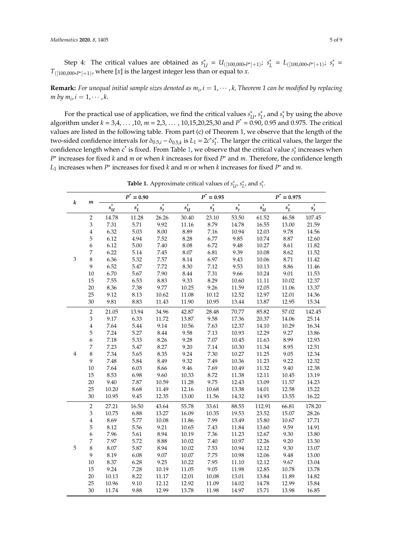Step 4: The critical values are obtained as *s* ∗  $U_{U} = U_{([100,000*P^{*}]+1)}; s_{I}^{*}$  $L_{L}^{*} = L_{([100,000*P^{*}]+1)}; s_{t}^{*}$ *t* = *T*([100,000∗*P*<sup>∗</sup> ]+1) , where [*x*] is the largest integer less than or equal to *x*.

**Remark:** For unequal initial sample sizes denoted as  $m_i$ ,  $i = 1, \dots, k$ , Theorem 1 can be modified by replacing  $m$  by  $m_i$ ,  $i = 1, \cdots, k$ .

For the practical use of application, we find the critical values *s* ∗ *U* , *s* ∗  $\int_L^*$ , and  $s_t^*$  $\int_t^*$  by using the above algorithm under *k* = 3,4, . . . ,10, *m* = 2,3, . . . , 10,15,20,25,30 and *P* \* = 0.90, 0.95 and 0.975. The critical values are listed in the following table. From part (c) of Theorem 1, we observe that the length of the two-sided confidence intervals for  $\delta_{0.5,i} - \delta_{0.5,k}$  is  $L_1 = 2c^*s_t^*$ *t* . The larger the critical values, the larger the confidence length when c<sup>\*</sup> is fixed. From Table [1,](#page-6-1) we observe that the critical value *s*<sup>\*</sup><sub>*i*</sub>  $t_t^*$  increases when *P* ∗ increases for fixed *k* and *m* or when *k* increases for fixed *P* <sup>∗</sup> and *m*. Therefore, the confidence length *L*<sup>1</sup> increases when *P* ∗ increases for fixed *k* and *m* or when *k* increases for fixed *P* <sup>∗</sup> and *m*.

| k           | $\boldsymbol{m}$            | $P^* = 0.90$                 |                    |         | $P^* = 0.95$         |                    |         | $P^* = 0.975$  |            |         |
|-------------|-----------------------------|------------------------------|--------------------|---------|----------------------|--------------------|---------|----------------|------------|---------|
|             |                             | $\ast$<br>$s_{\mathfrak{U}}$ | $\overline{s_L^*}$ | $s_t^*$ | $s^*_{\mathfrak{U}}$ | $\overline{s_L^*}$ | $s^*_t$ | $s^{\ast}_{u}$ | $s_L^\ast$ | $s^*_t$ |
|             | $\overline{2}$              | 14.78                        | 11.28              | 26.26   | 30.40                | 23.10              | 53.50   | 61.52          | 46.58      | 107.45  |
|             | 3                           | 7.31                         | 5.71               | 9.92    | 11.16                | 8.79               | 14.78   | 16.55          | 13.00      | 21.59   |
|             | $\overline{\mathbf{4}}$     | 6.32                         | 5.03               | 8.00    | 8.89                 | 7.16               | 10.94   | 12.03          | 9.78       | 14.56   |
|             | 5                           | 6.12                         | 4.94               | 7.52    | 8.28                 | 6.77               | 9.85    | 10.74          | 8.87       | 12.60   |
|             | 6                           | 6.12                         | 5.00               | 7.40    | 8.08                 | 6.72               | 9.48    | 10.27          | 8.61       | 11.82   |
|             | $\overline{\phantom{a}}$    | 6.22                         | 5.14               | 7.45    | 8.07                 | 6.81               | 9.39    | 10.08          | 8.62       | 11.52   |
| 3           | $\,8\,$                     | 6.36                         | 5.32               | 7.57    | 8.14                 | 6.97               | 9.43    | 10.06          | 8.71       | 11.42   |
|             | 9                           | 6.52                         | 5.47               | 7.72    | 8.30                 | 7.12               | 9.53    | 10.13          | 8.86       | 11.46   |
|             | $10\,$                      | 6.70                         | 5.67               | 7.90    | 8.44                 | 7.31               | 9.66    | 10.24          | 9.01       | 11.53   |
|             | 15                          | 7.55                         | 6.53               | 8.83    | 9.33                 | 8.29               | 10.60   | 11.11          | 10.02      | 12.37   |
|             | 20                          | 8.36                         | 7.38               | 9.77    | 10.25                | 9.26               | 11.59   | 12.05          | 11.06      | 13.37   |
|             | 25                          | 9.12                         | 8.13               | 10.62   | 11.08                | 10.12              | 12.52   | 12.97          | 12.01      | 14.36   |
|             | 30                          | 9.81                         | 8.83               | 11.43   | 11.90                | 10.95              | 13.44   | 13.87          | 12.95      | 15.34   |
|             | $\sqrt{2}$                  | 21.05                        | 13.94              | 34.96   | 42.87                | 28.48              | 70.77   | 85.82          | 57.02      | 142.45  |
|             | 3                           | 9.17                         | 6.33               | 11.72   | 13.87                | 9.58               | 17.36   | 20.37          | 14.06      | 25.14   |
|             | $\overline{4}$              | 7.64                         | 5.44               | 9.14    | 10.56                | 7.63               | 12.37   | 14.10          | 10.29      | 16.34   |
|             | 5                           | 7.24                         | 5.27               | 8.44    | 9.58                 | 7.13               | 10.93   | 12.29          | 9.27       | 13.86   |
|             | 6                           | 7.18                         | 5.33               | 8.26    | 9.28                 | 7.07               | 10.45   | 11.63          | 8.99       | 12.93   |
|             | 7                           | 7.23                         | 5.47               | 8.27    | 9.20                 | 7.14               | 10.30   | 11.34          | 8.95       | 12.51   |
| 4           | $\,8\,$                     | 7.34                         | 5.65               | 8.35    | 9.24                 | 7.30               | 10.27   | 11.25          | 9.05       | 12.34   |
|             | 9                           | 7.48                         | 5.84               | 8.49    | 9.32                 | 7.49               | 10.36   | 11.23          | 9.22       | 12.32   |
|             | 10                          | 7.64                         | 6.03               | 8.66    | 9.46                 | 7.69               | 10.49   | 11.32          | 9.40       | 12.38   |
|             | 15                          | 8.53                         | 6.98               | 9.60    | 10.33                | 8.72               | 11.38   | 12.11          | 10.45      | 13.19   |
|             | 20                          | 9.40                         | 7.87               | 10.59   | 11.28                | 9.75               | 12.43   | 13.09          | 11.57      | 14.23   |
|             | 25                          | 10.20                        | 8.68               | 11.49   | 12.16                | 10.68              | 13.38   | 14.01          | 12.58      | 15.22   |
|             | 30                          | 10.95                        | 9.45               | 12.35   | 13.00                | 11.56              | 14.32   | 14.93          | 13.55      | 16.22   |
|             | $\sqrt{2}$                  | 27.21                        | 16.50              | 43.64   | 55.78                | 33.61              | 88.55   | 112.91         | 66.81      | 178.20  |
|             | $\ensuremath{\mathfrak{Z}}$ | 10.75                        | 6.88               | 13.27   | 16.09                | 10.35              | 19.53   | 23.52          | 15.07      | 28.26   |
|             | $\overline{4}$              | 8.69                         | 5.77               | 10.08   | 11.86                | 7.99               | 13.49   | 15.80          | 10.67      | 17.71   |
|             | 5                           | 8.12                         | 5.56               | 9.21    | 10.65                | 7.43               | 11.84   | 13.60          | 9.59       | 14.91   |
|             | 6                           | 7.96                         | 5.61               | 8.94    | 10.19                | 7.36               | 11.23   | 12.67          | 9.30       | 13.80   |
|             | $\boldsymbol{7}$            | 7.97                         | 5.72               | 8.88    | 10.02                | 7.40               | 10.97   | 12.26          | 9.20       | 13.30   |
| $\mathbf 5$ | $\,8\,$                     | 8.07                         | 5.87               | 8.94    | 10.02                | 7.53               | 10.94   | 12.12          | 9.30       | 13.07   |
|             | 9                           | 8.19                         | 6.08               | 9.07    | 10.07                | 7.75               | 10.98   | 12.06          | 9.48       | 13.00   |
|             | $10\,$                      | 8.37                         | 6.28               | 9.25    | 10.22                | 7.95               | 11.10   | 12.12          | 9.67       | 13.04   |
|             | 15                          | 9.24                         | 7.28               | 10.19   | 11.05                | 9.05               | 11.98   | 12.85          | 10.78      | 13.78   |
|             | 20                          | 10.13                        | 8.22               | 11.17   | 12.01                | 10.08              | 13.01   | 13.84          | 11.89      | 14.82   |
|             | 25                          | 10.96                        | 9.10               | 12.12   | 12.92                | 11.09              | 14.02   | 14.78          | 12.99      | 15.84   |
|             | 30                          | 11.74                        | 9.88               | 12.99   | 13.78                | 11.98              | 14.97   | 15.71          | 13.98      | 16.85   |

**Table 1.** Approximate critical values of *s* ∗ *U* , *s* ∗  $\int_L^*$ , and  $s_t^*$ *t* .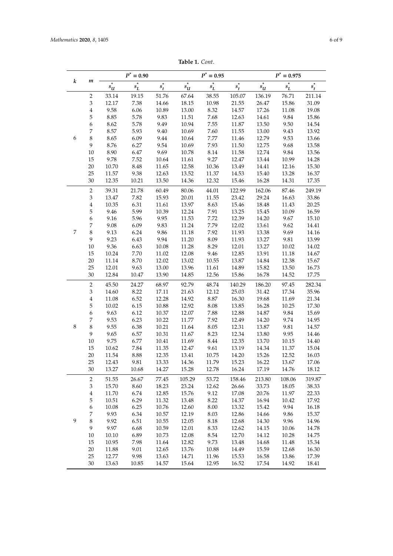|  | Table 1. Cont. |
|--|----------------|
|--|----------------|

| k<br>m<br>$s_L^*$<br>$s_L^*$<br>$s^*_{\mathfrak{U}}$<br>$s_L^\ast$<br>$s_{U}^{\ast}$<br>$s_t^*$<br>$s^*_u$<br>$s_t^*$<br>$s_t^*$<br>51.76<br>105.07<br>136.19<br>76.71<br>211.14<br>$\overline{c}$<br>33.14<br>19.15<br>67.64<br>38.55<br>7.38<br>31.09<br>3<br>12.17<br>14.66<br>18.15<br>10.98<br>21.55<br>26.47<br>15.86<br>$\bf 4$<br>9.58<br>6.06<br>13.00<br>8.32<br>17.26<br>19.08<br>10.89<br>14.57<br>11.08<br>5.78<br>5<br>8.85<br>9.83<br>11.51<br>7.68<br>14.61<br>9.84<br>15.86<br>12.63<br>6<br>8.62<br>5.78<br>9.49<br>10.94<br>7.55<br>13.50<br>9.50<br>11.87<br>14.54<br>7<br>8.57<br>5.93<br>9.40<br>7.60<br>13.00<br>10.69<br>11.55<br>9.43<br>13.92<br>$\,8\,$<br>6<br>8.65<br>6.09<br>9.44<br>7.77<br>12.79<br>10.64<br>11.46<br>9.53<br>13.66<br>9<br>8.76<br>6.27<br>9.54<br>10.69<br>7.93<br>11.50<br>12.75<br>9.68<br>13.58<br>9.69<br>8.90<br>6.47<br>8.14<br>12.74<br>9.84<br>$10\,$<br>10.78<br>11.58<br>13.56<br>9.27<br>15<br>9.78<br>7.52<br>12.47<br>13.44<br>10.99<br>10.64<br>11.61<br>14.28<br>20<br>10.70<br>8.48<br>12.58<br>13.49<br>$14.41\,$<br>15.30<br>11.65<br>10.36<br>12.16<br>25<br>11.57<br>9.38<br>13.52<br>13.28<br>16.37<br>12.63<br>11.37<br>14.53<br>15.40<br>30<br>14.36<br>15.46<br>17.35<br>12.35<br>10.21<br>13.50<br>12.32<br>16.28<br>14.31<br>$\overline{c}$<br>21.78<br>80.06<br>122.99<br>249.19<br>39.31<br>60.49<br>44.01<br>162.06<br>87.46<br>$\ensuremath{\mathfrak{Z}}$<br>7.82<br>20.01<br>29.24<br>33.86<br>13.47<br>15.93<br>11.55<br>23.42<br>16.63<br>$\bf 4$<br>6.31<br>13.97<br>8.63<br>15.46<br>18.48<br>20.25<br>10.35<br>11.61<br>11.43<br>5.99<br>5<br>9.46<br>10.39<br>12.24<br>7.91<br>13.25<br>15.45<br>10.09<br>16.59<br>6<br>5.96<br>9.95<br>11.53<br>7.72<br>14.20<br>15.10<br>9.16<br>12.39<br>9.67<br>7<br>9.83<br>7.79<br>9.08<br>6.09<br>11.24<br>12.02<br>13.61<br>9.62<br>14.41<br>7<br>$\,8\,$<br>9.13<br>6.24<br>9.86<br>$11.18\,$<br>7.92<br>11.93<br>13.38<br>9.69<br>14.16<br>9<br>9.23<br>6.43<br>9.94<br>11.20<br>8.09<br>13.27<br>9.81<br>13.99<br>11.93<br>10<br>9.36<br>6.63<br>11.28<br>8.29<br>13.27<br>$10.08\,$<br>12.01<br>10.02<br>14.02<br>15<br>7.70<br>12.08<br>9.46<br>13.91<br>10.24<br>11.02<br>12.85<br>11.18<br>14.67<br>20<br>8.70<br>12.02<br>13.02<br>14.84<br>12.38<br>11.14<br>10.55<br>13.87<br>15.67<br>25<br>9.63<br>12.01<br>13.00<br>13.96<br>14.89<br>11.61<br>15.82<br>13.50<br>16.73<br>30<br>14.85<br>16.78<br>17.75<br>12.84<br>10.47<br>13.90<br>12.56<br>15.86<br>14.52<br>92.79<br>$\overline{2}$<br>24.27<br>68.97<br>48.74<br>140.29<br>186.20<br>97.45<br>282.34<br>45.50<br>3<br>8.22<br>17.11<br>21.63<br>12.12<br>25.03<br>31.42<br>35.96<br>14.60<br>17.34<br>6.52<br>$\overline{4}$<br>12.28<br>14.92<br>$8.87\,$<br>16.30<br>21.34<br>11.08<br>19.68<br>11.69<br>5<br>6.15<br>10.88<br>12.92<br>8.08<br>13.85<br>16.28<br>10.25<br>17.30<br>10.02<br>$\boldsymbol{6}$<br>7.88<br>14.87<br>9.63<br>6.12<br>10.37<br>12.07<br>12.88<br>9.84<br>15.69<br>7<br>9.53<br>6.23<br>10.22<br>11.77<br>7.92<br>12.49<br>14.20<br>9.74<br>14.95<br>$\,8\,$<br>$\,8\,$<br>9.55<br>6.38<br>10.21<br>8.05<br>13.87<br>9.81<br>14.57<br>11.64<br>12.31<br>9<br>9.65<br>6.57<br>8.23<br>12.34<br>13.80<br>9.95<br>10.31<br>11.67<br>14.46<br>6.77<br>8.44<br>13.70<br>$10\,$<br>9.75<br>10.41<br>11.69<br>12.35<br>10.15<br>14.40<br>15<br>10.62<br>7.84<br>12.47<br>9.61<br>14.34<br>11.35<br>13.19<br>11.37<br>15.04<br>20<br>8.88<br>12.35<br>13.41<br>12.52<br>11.54<br>10.75<br>14.20<br>15.26<br>16.03<br>25<br>12.43<br>9.81<br>13.33<br>14.36<br>11.79<br>15.23<br>16.22<br>17.06 |
|------------------------------------------------------------------------------------------------------------------------------------------------------------------------------------------------------------------------------------------------------------------------------------------------------------------------------------------------------------------------------------------------------------------------------------------------------------------------------------------------------------------------------------------------------------------------------------------------------------------------------------------------------------------------------------------------------------------------------------------------------------------------------------------------------------------------------------------------------------------------------------------------------------------------------------------------------------------------------------------------------------------------------------------------------------------------------------------------------------------------------------------------------------------------------------------------------------------------------------------------------------------------------------------------------------------------------------------------------------------------------------------------------------------------------------------------------------------------------------------------------------------------------------------------------------------------------------------------------------------------------------------------------------------------------------------------------------------------------------------------------------------------------------------------------------------------------------------------------------------------------------------------------------------------------------------------------------------------------------------------------------------------------------------------------------------------------------------------------------------------------------------------------------------------------------------------------------------------------------------------------------------------------------------------------------------------------------------------------------------------------------------------------------------------------------------------------------------------------------------------------------------------------------------------------------------------------------------------------------------------------------------------------------------------------------------------------------------------------------------------------------------------------------------------------------------------------------------------------------------------------------------------------------------------------------------------------------------------------------------------------------------------------------------------------------------------------------------------------------------------------------------------------------------------------------------------------------------------------------------------------------------------------------------------------------------------------------------------------------------------------------------------------------------------------------------------------------------------------------------------------------------------------------------------------------------------------------------------------------------------|
|                                                                                                                                                                                                                                                                                                                                                                                                                                                                                                                                                                                                                                                                                                                                                                                                                                                                                                                                                                                                                                                                                                                                                                                                                                                                                                                                                                                                                                                                                                                                                                                                                                                                                                                                                                                                                                                                                                                                                                                                                                                                                                                                                                                                                                                                                                                                                                                                                                                                                                                                                                                                                                                                                                                                                                                                                                                                                                                                                                                                                                                                                                                                                                                                                                                                                                                                                                                                                                                                                                                                                                                                                        |
|                                                                                                                                                                                                                                                                                                                                                                                                                                                                                                                                                                                                                                                                                                                                                                                                                                                                                                                                                                                                                                                                                                                                                                                                                                                                                                                                                                                                                                                                                                                                                                                                                                                                                                                                                                                                                                                                                                                                                                                                                                                                                                                                                                                                                                                                                                                                                                                                                                                                                                                                                                                                                                                                                                                                                                                                                                                                                                                                                                                                                                                                                                                                                                                                                                                                                                                                                                                                                                                                                                                                                                                                                        |
|                                                                                                                                                                                                                                                                                                                                                                                                                                                                                                                                                                                                                                                                                                                                                                                                                                                                                                                                                                                                                                                                                                                                                                                                                                                                                                                                                                                                                                                                                                                                                                                                                                                                                                                                                                                                                                                                                                                                                                                                                                                                                                                                                                                                                                                                                                                                                                                                                                                                                                                                                                                                                                                                                                                                                                                                                                                                                                                                                                                                                                                                                                                                                                                                                                                                                                                                                                                                                                                                                                                                                                                                                        |
|                                                                                                                                                                                                                                                                                                                                                                                                                                                                                                                                                                                                                                                                                                                                                                                                                                                                                                                                                                                                                                                                                                                                                                                                                                                                                                                                                                                                                                                                                                                                                                                                                                                                                                                                                                                                                                                                                                                                                                                                                                                                                                                                                                                                                                                                                                                                                                                                                                                                                                                                                                                                                                                                                                                                                                                                                                                                                                                                                                                                                                                                                                                                                                                                                                                                                                                                                                                                                                                                                                                                                                                                                        |
|                                                                                                                                                                                                                                                                                                                                                                                                                                                                                                                                                                                                                                                                                                                                                                                                                                                                                                                                                                                                                                                                                                                                                                                                                                                                                                                                                                                                                                                                                                                                                                                                                                                                                                                                                                                                                                                                                                                                                                                                                                                                                                                                                                                                                                                                                                                                                                                                                                                                                                                                                                                                                                                                                                                                                                                                                                                                                                                                                                                                                                                                                                                                                                                                                                                                                                                                                                                                                                                                                                                                                                                                                        |
|                                                                                                                                                                                                                                                                                                                                                                                                                                                                                                                                                                                                                                                                                                                                                                                                                                                                                                                                                                                                                                                                                                                                                                                                                                                                                                                                                                                                                                                                                                                                                                                                                                                                                                                                                                                                                                                                                                                                                                                                                                                                                                                                                                                                                                                                                                                                                                                                                                                                                                                                                                                                                                                                                                                                                                                                                                                                                                                                                                                                                                                                                                                                                                                                                                                                                                                                                                                                                                                                                                                                                                                                                        |
|                                                                                                                                                                                                                                                                                                                                                                                                                                                                                                                                                                                                                                                                                                                                                                                                                                                                                                                                                                                                                                                                                                                                                                                                                                                                                                                                                                                                                                                                                                                                                                                                                                                                                                                                                                                                                                                                                                                                                                                                                                                                                                                                                                                                                                                                                                                                                                                                                                                                                                                                                                                                                                                                                                                                                                                                                                                                                                                                                                                                                                                                                                                                                                                                                                                                                                                                                                                                                                                                                                                                                                                                                        |
|                                                                                                                                                                                                                                                                                                                                                                                                                                                                                                                                                                                                                                                                                                                                                                                                                                                                                                                                                                                                                                                                                                                                                                                                                                                                                                                                                                                                                                                                                                                                                                                                                                                                                                                                                                                                                                                                                                                                                                                                                                                                                                                                                                                                                                                                                                                                                                                                                                                                                                                                                                                                                                                                                                                                                                                                                                                                                                                                                                                                                                                                                                                                                                                                                                                                                                                                                                                                                                                                                                                                                                                                                        |
|                                                                                                                                                                                                                                                                                                                                                                                                                                                                                                                                                                                                                                                                                                                                                                                                                                                                                                                                                                                                                                                                                                                                                                                                                                                                                                                                                                                                                                                                                                                                                                                                                                                                                                                                                                                                                                                                                                                                                                                                                                                                                                                                                                                                                                                                                                                                                                                                                                                                                                                                                                                                                                                                                                                                                                                                                                                                                                                                                                                                                                                                                                                                                                                                                                                                                                                                                                                                                                                                                                                                                                                                                        |
|                                                                                                                                                                                                                                                                                                                                                                                                                                                                                                                                                                                                                                                                                                                                                                                                                                                                                                                                                                                                                                                                                                                                                                                                                                                                                                                                                                                                                                                                                                                                                                                                                                                                                                                                                                                                                                                                                                                                                                                                                                                                                                                                                                                                                                                                                                                                                                                                                                                                                                                                                                                                                                                                                                                                                                                                                                                                                                                                                                                                                                                                                                                                                                                                                                                                                                                                                                                                                                                                                                                                                                                                                        |
|                                                                                                                                                                                                                                                                                                                                                                                                                                                                                                                                                                                                                                                                                                                                                                                                                                                                                                                                                                                                                                                                                                                                                                                                                                                                                                                                                                                                                                                                                                                                                                                                                                                                                                                                                                                                                                                                                                                                                                                                                                                                                                                                                                                                                                                                                                                                                                                                                                                                                                                                                                                                                                                                                                                                                                                                                                                                                                                                                                                                                                                                                                                                                                                                                                                                                                                                                                                                                                                                                                                                                                                                                        |
|                                                                                                                                                                                                                                                                                                                                                                                                                                                                                                                                                                                                                                                                                                                                                                                                                                                                                                                                                                                                                                                                                                                                                                                                                                                                                                                                                                                                                                                                                                                                                                                                                                                                                                                                                                                                                                                                                                                                                                                                                                                                                                                                                                                                                                                                                                                                                                                                                                                                                                                                                                                                                                                                                                                                                                                                                                                                                                                                                                                                                                                                                                                                                                                                                                                                                                                                                                                                                                                                                                                                                                                                                        |
|                                                                                                                                                                                                                                                                                                                                                                                                                                                                                                                                                                                                                                                                                                                                                                                                                                                                                                                                                                                                                                                                                                                                                                                                                                                                                                                                                                                                                                                                                                                                                                                                                                                                                                                                                                                                                                                                                                                                                                                                                                                                                                                                                                                                                                                                                                                                                                                                                                                                                                                                                                                                                                                                                                                                                                                                                                                                                                                                                                                                                                                                                                                                                                                                                                                                                                                                                                                                                                                                                                                                                                                                                        |
|                                                                                                                                                                                                                                                                                                                                                                                                                                                                                                                                                                                                                                                                                                                                                                                                                                                                                                                                                                                                                                                                                                                                                                                                                                                                                                                                                                                                                                                                                                                                                                                                                                                                                                                                                                                                                                                                                                                                                                                                                                                                                                                                                                                                                                                                                                                                                                                                                                                                                                                                                                                                                                                                                                                                                                                                                                                                                                                                                                                                                                                                                                                                                                                                                                                                                                                                                                                                                                                                                                                                                                                                                        |
|                                                                                                                                                                                                                                                                                                                                                                                                                                                                                                                                                                                                                                                                                                                                                                                                                                                                                                                                                                                                                                                                                                                                                                                                                                                                                                                                                                                                                                                                                                                                                                                                                                                                                                                                                                                                                                                                                                                                                                                                                                                                                                                                                                                                                                                                                                                                                                                                                                                                                                                                                                                                                                                                                                                                                                                                                                                                                                                                                                                                                                                                                                                                                                                                                                                                                                                                                                                                                                                                                                                                                                                                                        |
|                                                                                                                                                                                                                                                                                                                                                                                                                                                                                                                                                                                                                                                                                                                                                                                                                                                                                                                                                                                                                                                                                                                                                                                                                                                                                                                                                                                                                                                                                                                                                                                                                                                                                                                                                                                                                                                                                                                                                                                                                                                                                                                                                                                                                                                                                                                                                                                                                                                                                                                                                                                                                                                                                                                                                                                                                                                                                                                                                                                                                                                                                                                                                                                                                                                                                                                                                                                                                                                                                                                                                                                                                        |
|                                                                                                                                                                                                                                                                                                                                                                                                                                                                                                                                                                                                                                                                                                                                                                                                                                                                                                                                                                                                                                                                                                                                                                                                                                                                                                                                                                                                                                                                                                                                                                                                                                                                                                                                                                                                                                                                                                                                                                                                                                                                                                                                                                                                                                                                                                                                                                                                                                                                                                                                                                                                                                                                                                                                                                                                                                                                                                                                                                                                                                                                                                                                                                                                                                                                                                                                                                                                                                                                                                                                                                                                                        |
|                                                                                                                                                                                                                                                                                                                                                                                                                                                                                                                                                                                                                                                                                                                                                                                                                                                                                                                                                                                                                                                                                                                                                                                                                                                                                                                                                                                                                                                                                                                                                                                                                                                                                                                                                                                                                                                                                                                                                                                                                                                                                                                                                                                                                                                                                                                                                                                                                                                                                                                                                                                                                                                                                                                                                                                                                                                                                                                                                                                                                                                                                                                                                                                                                                                                                                                                                                                                                                                                                                                                                                                                                        |
|                                                                                                                                                                                                                                                                                                                                                                                                                                                                                                                                                                                                                                                                                                                                                                                                                                                                                                                                                                                                                                                                                                                                                                                                                                                                                                                                                                                                                                                                                                                                                                                                                                                                                                                                                                                                                                                                                                                                                                                                                                                                                                                                                                                                                                                                                                                                                                                                                                                                                                                                                                                                                                                                                                                                                                                                                                                                                                                                                                                                                                                                                                                                                                                                                                                                                                                                                                                                                                                                                                                                                                                                                        |
|                                                                                                                                                                                                                                                                                                                                                                                                                                                                                                                                                                                                                                                                                                                                                                                                                                                                                                                                                                                                                                                                                                                                                                                                                                                                                                                                                                                                                                                                                                                                                                                                                                                                                                                                                                                                                                                                                                                                                                                                                                                                                                                                                                                                                                                                                                                                                                                                                                                                                                                                                                                                                                                                                                                                                                                                                                                                                                                                                                                                                                                                                                                                                                                                                                                                                                                                                                                                                                                                                                                                                                                                                        |
|                                                                                                                                                                                                                                                                                                                                                                                                                                                                                                                                                                                                                                                                                                                                                                                                                                                                                                                                                                                                                                                                                                                                                                                                                                                                                                                                                                                                                                                                                                                                                                                                                                                                                                                                                                                                                                                                                                                                                                                                                                                                                                                                                                                                                                                                                                                                                                                                                                                                                                                                                                                                                                                                                                                                                                                                                                                                                                                                                                                                                                                                                                                                                                                                                                                                                                                                                                                                                                                                                                                                                                                                                        |
|                                                                                                                                                                                                                                                                                                                                                                                                                                                                                                                                                                                                                                                                                                                                                                                                                                                                                                                                                                                                                                                                                                                                                                                                                                                                                                                                                                                                                                                                                                                                                                                                                                                                                                                                                                                                                                                                                                                                                                                                                                                                                                                                                                                                                                                                                                                                                                                                                                                                                                                                                                                                                                                                                                                                                                                                                                                                                                                                                                                                                                                                                                                                                                                                                                                                                                                                                                                                                                                                                                                                                                                                                        |
|                                                                                                                                                                                                                                                                                                                                                                                                                                                                                                                                                                                                                                                                                                                                                                                                                                                                                                                                                                                                                                                                                                                                                                                                                                                                                                                                                                                                                                                                                                                                                                                                                                                                                                                                                                                                                                                                                                                                                                                                                                                                                                                                                                                                                                                                                                                                                                                                                                                                                                                                                                                                                                                                                                                                                                                                                                                                                                                                                                                                                                                                                                                                                                                                                                                                                                                                                                                                                                                                                                                                                                                                                        |
|                                                                                                                                                                                                                                                                                                                                                                                                                                                                                                                                                                                                                                                                                                                                                                                                                                                                                                                                                                                                                                                                                                                                                                                                                                                                                                                                                                                                                                                                                                                                                                                                                                                                                                                                                                                                                                                                                                                                                                                                                                                                                                                                                                                                                                                                                                                                                                                                                                                                                                                                                                                                                                                                                                                                                                                                                                                                                                                                                                                                                                                                                                                                                                                                                                                                                                                                                                                                                                                                                                                                                                                                                        |
|                                                                                                                                                                                                                                                                                                                                                                                                                                                                                                                                                                                                                                                                                                                                                                                                                                                                                                                                                                                                                                                                                                                                                                                                                                                                                                                                                                                                                                                                                                                                                                                                                                                                                                                                                                                                                                                                                                                                                                                                                                                                                                                                                                                                                                                                                                                                                                                                                                                                                                                                                                                                                                                                                                                                                                                                                                                                                                                                                                                                                                                                                                                                                                                                                                                                                                                                                                                                                                                                                                                                                                                                                        |
|                                                                                                                                                                                                                                                                                                                                                                                                                                                                                                                                                                                                                                                                                                                                                                                                                                                                                                                                                                                                                                                                                                                                                                                                                                                                                                                                                                                                                                                                                                                                                                                                                                                                                                                                                                                                                                                                                                                                                                                                                                                                                                                                                                                                                                                                                                                                                                                                                                                                                                                                                                                                                                                                                                                                                                                                                                                                                                                                                                                                                                                                                                                                                                                                                                                                                                                                                                                                                                                                                                                                                                                                                        |
|                                                                                                                                                                                                                                                                                                                                                                                                                                                                                                                                                                                                                                                                                                                                                                                                                                                                                                                                                                                                                                                                                                                                                                                                                                                                                                                                                                                                                                                                                                                                                                                                                                                                                                                                                                                                                                                                                                                                                                                                                                                                                                                                                                                                                                                                                                                                                                                                                                                                                                                                                                                                                                                                                                                                                                                                                                                                                                                                                                                                                                                                                                                                                                                                                                                                                                                                                                                                                                                                                                                                                                                                                        |
|                                                                                                                                                                                                                                                                                                                                                                                                                                                                                                                                                                                                                                                                                                                                                                                                                                                                                                                                                                                                                                                                                                                                                                                                                                                                                                                                                                                                                                                                                                                                                                                                                                                                                                                                                                                                                                                                                                                                                                                                                                                                                                                                                                                                                                                                                                                                                                                                                                                                                                                                                                                                                                                                                                                                                                                                                                                                                                                                                                                                                                                                                                                                                                                                                                                                                                                                                                                                                                                                                                                                                                                                                        |
|                                                                                                                                                                                                                                                                                                                                                                                                                                                                                                                                                                                                                                                                                                                                                                                                                                                                                                                                                                                                                                                                                                                                                                                                                                                                                                                                                                                                                                                                                                                                                                                                                                                                                                                                                                                                                                                                                                                                                                                                                                                                                                                                                                                                                                                                                                                                                                                                                                                                                                                                                                                                                                                                                                                                                                                                                                                                                                                                                                                                                                                                                                                                                                                                                                                                                                                                                                                                                                                                                                                                                                                                                        |
|                                                                                                                                                                                                                                                                                                                                                                                                                                                                                                                                                                                                                                                                                                                                                                                                                                                                                                                                                                                                                                                                                                                                                                                                                                                                                                                                                                                                                                                                                                                                                                                                                                                                                                                                                                                                                                                                                                                                                                                                                                                                                                                                                                                                                                                                                                                                                                                                                                                                                                                                                                                                                                                                                                                                                                                                                                                                                                                                                                                                                                                                                                                                                                                                                                                                                                                                                                                                                                                                                                                                                                                                                        |
|                                                                                                                                                                                                                                                                                                                                                                                                                                                                                                                                                                                                                                                                                                                                                                                                                                                                                                                                                                                                                                                                                                                                                                                                                                                                                                                                                                                                                                                                                                                                                                                                                                                                                                                                                                                                                                                                                                                                                                                                                                                                                                                                                                                                                                                                                                                                                                                                                                                                                                                                                                                                                                                                                                                                                                                                                                                                                                                                                                                                                                                                                                                                                                                                                                                                                                                                                                                                                                                                                                                                                                                                                        |
|                                                                                                                                                                                                                                                                                                                                                                                                                                                                                                                                                                                                                                                                                                                                                                                                                                                                                                                                                                                                                                                                                                                                                                                                                                                                                                                                                                                                                                                                                                                                                                                                                                                                                                                                                                                                                                                                                                                                                                                                                                                                                                                                                                                                                                                                                                                                                                                                                                                                                                                                                                                                                                                                                                                                                                                                                                                                                                                                                                                                                                                                                                                                                                                                                                                                                                                                                                                                                                                                                                                                                                                                                        |
|                                                                                                                                                                                                                                                                                                                                                                                                                                                                                                                                                                                                                                                                                                                                                                                                                                                                                                                                                                                                                                                                                                                                                                                                                                                                                                                                                                                                                                                                                                                                                                                                                                                                                                                                                                                                                                                                                                                                                                                                                                                                                                                                                                                                                                                                                                                                                                                                                                                                                                                                                                                                                                                                                                                                                                                                                                                                                                                                                                                                                                                                                                                                                                                                                                                                                                                                                                                                                                                                                                                                                                                                                        |
|                                                                                                                                                                                                                                                                                                                                                                                                                                                                                                                                                                                                                                                                                                                                                                                                                                                                                                                                                                                                                                                                                                                                                                                                                                                                                                                                                                                                                                                                                                                                                                                                                                                                                                                                                                                                                                                                                                                                                                                                                                                                                                                                                                                                                                                                                                                                                                                                                                                                                                                                                                                                                                                                                                                                                                                                                                                                                                                                                                                                                                                                                                                                                                                                                                                                                                                                                                                                                                                                                                                                                                                                                        |
|                                                                                                                                                                                                                                                                                                                                                                                                                                                                                                                                                                                                                                                                                                                                                                                                                                                                                                                                                                                                                                                                                                                                                                                                                                                                                                                                                                                                                                                                                                                                                                                                                                                                                                                                                                                                                                                                                                                                                                                                                                                                                                                                                                                                                                                                                                                                                                                                                                                                                                                                                                                                                                                                                                                                                                                                                                                                                                                                                                                                                                                                                                                                                                                                                                                                                                                                                                                                                                                                                                                                                                                                                        |
|                                                                                                                                                                                                                                                                                                                                                                                                                                                                                                                                                                                                                                                                                                                                                                                                                                                                                                                                                                                                                                                                                                                                                                                                                                                                                                                                                                                                                                                                                                                                                                                                                                                                                                                                                                                                                                                                                                                                                                                                                                                                                                                                                                                                                                                                                                                                                                                                                                                                                                                                                                                                                                                                                                                                                                                                                                                                                                                                                                                                                                                                                                                                                                                                                                                                                                                                                                                                                                                                                                                                                                                                                        |
|                                                                                                                                                                                                                                                                                                                                                                                                                                                                                                                                                                                                                                                                                                                                                                                                                                                                                                                                                                                                                                                                                                                                                                                                                                                                                                                                                                                                                                                                                                                                                                                                                                                                                                                                                                                                                                                                                                                                                                                                                                                                                                                                                                                                                                                                                                                                                                                                                                                                                                                                                                                                                                                                                                                                                                                                                                                                                                                                                                                                                                                                                                                                                                                                                                                                                                                                                                                                                                                                                                                                                                                                                        |
|                                                                                                                                                                                                                                                                                                                                                                                                                                                                                                                                                                                                                                                                                                                                                                                                                                                                                                                                                                                                                                                                                                                                                                                                                                                                                                                                                                                                                                                                                                                                                                                                                                                                                                                                                                                                                                                                                                                                                                                                                                                                                                                                                                                                                                                                                                                                                                                                                                                                                                                                                                                                                                                                                                                                                                                                                                                                                                                                                                                                                                                                                                                                                                                                                                                                                                                                                                                                                                                                                                                                                                                                                        |
| 13.67<br>17.19<br>30<br>13.27<br>10.68<br>14.27<br>15.28<br>12.78<br>16.24<br>14.76<br>18.12                                                                                                                                                                                                                                                                                                                                                                                                                                                                                                                                                                                                                                                                                                                                                                                                                                                                                                                                                                                                                                                                                                                                                                                                                                                                                                                                                                                                                                                                                                                                                                                                                                                                                                                                                                                                                                                                                                                                                                                                                                                                                                                                                                                                                                                                                                                                                                                                                                                                                                                                                                                                                                                                                                                                                                                                                                                                                                                                                                                                                                                                                                                                                                                                                                                                                                                                                                                                                                                                                                                           |
| $\overline{2}$<br>26.67<br>51.55<br>77.45<br>105.29<br>53.72<br>158.46<br>213.80<br>108.06<br>319.87                                                                                                                                                                                                                                                                                                                                                                                                                                                                                                                                                                                                                                                                                                                                                                                                                                                                                                                                                                                                                                                                                                                                                                                                                                                                                                                                                                                                                                                                                                                                                                                                                                                                                                                                                                                                                                                                                                                                                                                                                                                                                                                                                                                                                                                                                                                                                                                                                                                                                                                                                                                                                                                                                                                                                                                                                                                                                                                                                                                                                                                                                                                                                                                                                                                                                                                                                                                                                                                                                                                   |
| 3<br>15.70<br>8.60<br>18.23<br>23.24<br>12.62<br>33.73<br>18.05<br>38.33<br>26.66                                                                                                                                                                                                                                                                                                                                                                                                                                                                                                                                                                                                                                                                                                                                                                                                                                                                                                                                                                                                                                                                                                                                                                                                                                                                                                                                                                                                                                                                                                                                                                                                                                                                                                                                                                                                                                                                                                                                                                                                                                                                                                                                                                                                                                                                                                                                                                                                                                                                                                                                                                                                                                                                                                                                                                                                                                                                                                                                                                                                                                                                                                                                                                                                                                                                                                                                                                                                                                                                                                                                      |
| $\overline{4}$<br>11.70<br>6.74<br>12.85<br>15.76<br>9.12<br>17.08<br>20.76<br>11.97<br>22.33                                                                                                                                                                                                                                                                                                                                                                                                                                                                                                                                                                                                                                                                                                                                                                                                                                                                                                                                                                                                                                                                                                                                                                                                                                                                                                                                                                                                                                                                                                                                                                                                                                                                                                                                                                                                                                                                                                                                                                                                                                                                                                                                                                                                                                                                                                                                                                                                                                                                                                                                                                                                                                                                                                                                                                                                                                                                                                                                                                                                                                                                                                                                                                                                                                                                                                                                                                                                                                                                                                                          |
| 5<br>10.51<br>6.29<br>8.22<br>16.94<br>17.92<br>11.32<br>13.48<br>14.37<br>10.42                                                                                                                                                                                                                                                                                                                                                                                                                                                                                                                                                                                                                                                                                                                                                                                                                                                                                                                                                                                                                                                                                                                                                                                                                                                                                                                                                                                                                                                                                                                                                                                                                                                                                                                                                                                                                                                                                                                                                                                                                                                                                                                                                                                                                                                                                                                                                                                                                                                                                                                                                                                                                                                                                                                                                                                                                                                                                                                                                                                                                                                                                                                                                                                                                                                                                                                                                                                                                                                                                                                                       |
| $\boldsymbol{6}$<br>6.25<br>10.08<br>10.76<br>12.60<br>8.00<br>13.32<br>15.42<br>9.94<br>16.18                                                                                                                                                                                                                                                                                                                                                                                                                                                                                                                                                                                                                                                                                                                                                                                                                                                                                                                                                                                                                                                                                                                                                                                                                                                                                                                                                                                                                                                                                                                                                                                                                                                                                                                                                                                                                                                                                                                                                                                                                                                                                                                                                                                                                                                                                                                                                                                                                                                                                                                                                                                                                                                                                                                                                                                                                                                                                                                                                                                                                                                                                                                                                                                                                                                                                                                                                                                                                                                                                                                         |
| $\boldsymbol{7}$<br>9.93<br>6.34<br>10.57<br>12.19<br>8.03<br>14.66<br>9.86<br>15.37<br>12.86                                                                                                                                                                                                                                                                                                                                                                                                                                                                                                                                                                                                                                                                                                                                                                                                                                                                                                                                                                                                                                                                                                                                                                                                                                                                                                                                                                                                                                                                                                                                                                                                                                                                                                                                                                                                                                                                                                                                                                                                                                                                                                                                                                                                                                                                                                                                                                                                                                                                                                                                                                                                                                                                                                                                                                                                                                                                                                                                                                                                                                                                                                                                                                                                                                                                                                                                                                                                                                                                                                                          |
| 9<br>$\,8\,$<br>9.92<br>6.51<br>10.55<br>12.05<br>8.18<br>14.30<br>9.96<br>14.96<br>12.68                                                                                                                                                                                                                                                                                                                                                                                                                                                                                                                                                                                                                                                                                                                                                                                                                                                                                                                                                                                                                                                                                                                                                                                                                                                                                                                                                                                                                                                                                                                                                                                                                                                                                                                                                                                                                                                                                                                                                                                                                                                                                                                                                                                                                                                                                                                                                                                                                                                                                                                                                                                                                                                                                                                                                                                                                                                                                                                                                                                                                                                                                                                                                                                                                                                                                                                                                                                                                                                                                                                              |
| 9<br>9.97<br>6.68<br>12.01<br>8.33<br>12.62<br>14.15<br>14.78<br>10.59<br>10.06                                                                                                                                                                                                                                                                                                                                                                                                                                                                                                                                                                                                                                                                                                                                                                                                                                                                                                                                                                                                                                                                                                                                                                                                                                                                                                                                                                                                                                                                                                                                                                                                                                                                                                                                                                                                                                                                                                                                                                                                                                                                                                                                                                                                                                                                                                                                                                                                                                                                                                                                                                                                                                                                                                                                                                                                                                                                                                                                                                                                                                                                                                                                                                                                                                                                                                                                                                                                                                                                                                                                        |
| 10<br>10.10<br>6.89<br>10.73<br>12.08<br>8.54<br>12.70<br>14.12<br>10.28<br>14.75                                                                                                                                                                                                                                                                                                                                                                                                                                                                                                                                                                                                                                                                                                                                                                                                                                                                                                                                                                                                                                                                                                                                                                                                                                                                                                                                                                                                                                                                                                                                                                                                                                                                                                                                                                                                                                                                                                                                                                                                                                                                                                                                                                                                                                                                                                                                                                                                                                                                                                                                                                                                                                                                                                                                                                                                                                                                                                                                                                                                                                                                                                                                                                                                                                                                                                                                                                                                                                                                                                                                      |
| 15<br>10.95<br>7.98<br>12.82<br>9.73<br>$14.68\,$<br>15.34<br>11.64<br>13.48<br>11.48                                                                                                                                                                                                                                                                                                                                                                                                                                                                                                                                                                                                                                                                                                                                                                                                                                                                                                                                                                                                                                                                                                                                                                                                                                                                                                                                                                                                                                                                                                                                                                                                                                                                                                                                                                                                                                                                                                                                                                                                                                                                                                                                                                                                                                                                                                                                                                                                                                                                                                                                                                                                                                                                                                                                                                                                                                                                                                                                                                                                                                                                                                                                                                                                                                                                                                                                                                                                                                                                                                                                  |
| 20<br>9.01<br>13.76<br>$10.88\,$<br>14.49<br>15.59<br>11.88<br>12.65<br>12.68<br>16.30                                                                                                                                                                                                                                                                                                                                                                                                                                                                                                                                                                                                                                                                                                                                                                                                                                                                                                                                                                                                                                                                                                                                                                                                                                                                                                                                                                                                                                                                                                                                                                                                                                                                                                                                                                                                                                                                                                                                                                                                                                                                                                                                                                                                                                                                                                                                                                                                                                                                                                                                                                                                                                                                                                                                                                                                                                                                                                                                                                                                                                                                                                                                                                                                                                                                                                                                                                                                                                                                                                                                 |
| 25<br>12.77<br>9.98<br>13.63<br>14.71<br>11.96<br>15.53<br>16.58<br>13.86<br>17.39                                                                                                                                                                                                                                                                                                                                                                                                                                                                                                                                                                                                                                                                                                                                                                                                                                                                                                                                                                                                                                                                                                                                                                                                                                                                                                                                                                                                                                                                                                                                                                                                                                                                                                                                                                                                                                                                                                                                                                                                                                                                                                                                                                                                                                                                                                                                                                                                                                                                                                                                                                                                                                                                                                                                                                                                                                                                                                                                                                                                                                                                                                                                                                                                                                                                                                                                                                                                                                                                                                                                     |
| 30<br>13.63<br>14.57<br>15.64<br>12.95<br>17.54<br>14.92<br>18.41<br>10.85<br>16.52                                                                                                                                                                                                                                                                                                                                                                                                                                                                                                                                                                                                                                                                                                                                                                                                                                                                                                                                                                                                                                                                                                                                                                                                                                                                                                                                                                                                                                                                                                                                                                                                                                                                                                                                                                                                                                                                                                                                                                                                                                                                                                                                                                                                                                                                                                                                                                                                                                                                                                                                                                                                                                                                                                                                                                                                                                                                                                                                                                                                                                                                                                                                                                                                                                                                                                                                                                                                                                                                                                                                    |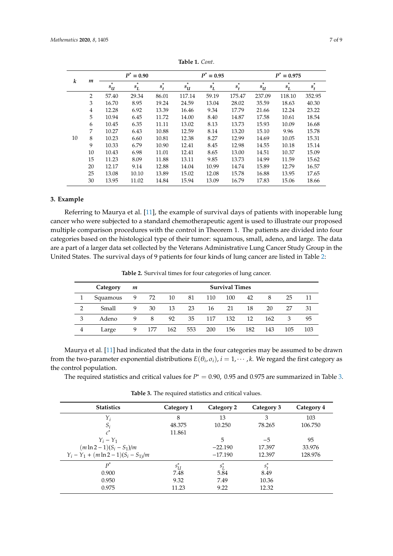<span id="page-6-1"></span>

| k  | $\boldsymbol{m}$ | $P^* = 0.90$      |            |                 | $P^* = 0.95$                 |            |            | $P^* = 0.975$           |                 |            |
|----|------------------|-------------------|------------|-----------------|------------------------------|------------|------------|-------------------------|-----------------|------------|
|    |                  | $\ast$<br>$s_{U}$ | *<br>$s_L$ | $\ast$<br>$s_t$ | $\ast$<br>$s_{\mathfrak{U}}$ | *<br>$s_L$ | *<br>$s_t$ | *<br>$s_{\mathfrak{U}}$ | $\ast$<br>$s_L$ | *<br>$s_t$ |
|    | 2                | 57.40             | 29.34      | 86.01           | 117.14                       | 59.19      | 175.47     | 237.09                  | 118.10          | 352.95     |
|    | 3                | 16.70             | 8.95       | 19.24           | 24.59                        | 13.04      | 28.02      | 35.59                   | 18.63           | 40.30      |
|    | 4                | 12.28             | 6.92       | 13.39           | 16.46                        | 9.34       | 17.79      | 21.66                   | 12.24           | 23.22      |
|    | 5                | 10.94             | 6.45       | 11.72           | 14.00                        | 8.40       | 14.87      | 17.58                   | 10.61           | 18.54      |
| 10 | 6                | 10.45             | 6.35       | 11.11           | 13.02                        | 8.13       | 13.73      | 15.93                   | 10.09           | 16.68      |
|    | 7                | 10.27             | 6.43       | 10.88           | 12.59                        | 8.14       | 13.20      | 15.10                   | 9.96            | 15.78      |
|    | 8                | 10.23             | 6.60       | 10.81           | 12.38                        | 8.27       | 12.99      | 14.69                   | 10.05           | 15.31      |
|    | 9                | 10.33             | 6.79       | 10.90           | 12.41                        | 8.45       | 12.98      | 14.55                   | 10.18           | 15.14      |
|    | 10               | 10.43             | 6.98       | 11.01           | 12.41                        | 8.65       | 13.00      | 14.51                   | 10.37           | 15.09      |
|    | 15               | 11.23             | 8.09       | 11.88           | 13.11                        | 9.85       | 13.73      | 14.99                   | 11.59           | 15.62      |
|    | 20               | 12.17             | 9.14       | 12.88           | 14.04                        | 10.99      | 14.74      | 15.89                   | 12.79           | 16.57      |
|    | 25               | 13.08             | 10.10      | 13.89           | 15.02                        | 12.08      | 15.78      | 16.88                   | 13.95           | 17.65      |
|    | 30               | 13.95             | 11.02      | 14.84           | 15.94                        | 13.09      | 16.79      | 17.83                   | 15.06           | 18.66      |
|    |                  |                   |            |                 |                              |            |            |                         |                 |            |

**Table 1.** *Cont*.

## <span id="page-6-0"></span>**3. Example**

Referring to Maurya et al. [\[11\]](#page-8-10), the example of survival days of patients with inoperable lung cancer who were subjected to a standard chemotherapeutic agent is used to illustrate our proposed multiple comparison procedures with the control in Theorem 1. The patients are divided into four categories based on the histological type of their tumor: squamous, small, adeno, and large. The data are a part of a larger data set collected by the Veterans Administrative Lung Cancer Study Group in the United States. The survival days of 9 patients for four kinds of lung cancer are listed in Table [2:](#page-6-2)

**Table 2.** Survival times for four categories of lung cancer.

<span id="page-6-2"></span>

|               | Category | m |     |     |     |     | <b>Survival Times</b> |     |     |     |     |
|---------------|----------|---|-----|-----|-----|-----|-----------------------|-----|-----|-----|-----|
|               | Squamous | 9 | 72  | 10  | -81 | 110 | 100                   | 42  |     | 25  | 11  |
| $\mathcal{P}$ | Small    | 9 | 30  | 13  | 23  | 16  | 21                    | 18  | 20  | 27  | 31  |
| 3             | Adeno    | 9 | 8   | 92  | 35  | 117 | 132                   | 12  | 162 | 3   | 95  |
| 4             | Large    |   | 177 | 162 | 553 | 200 | 156                   | 182 | 143 | 105 | 103 |

Maurya et al. [\[11\]](#page-8-10) had indicated that the data in the four categories may be assumed to be drawn from the two-parameter exponential distributions  $E(\theta_i, \sigma_i)$ ,  $i = 1, \cdots, k$ . We regard the first category as the control population.

The required statistics and critical values for  $P^* = 0.90$ , 0.95 and 0.975 are summarized in Table [3.](#page-6-3)

**Table 3.** The required statistics and critical values.

<span id="page-6-3"></span>

| <b>Statistics</b>                        | Category 1 | Category 2 | Category 3    | Category 4 |
|------------------------------------------|------------|------------|---------------|------------|
| Y;                                       | 8          | 13         | 3             | 103        |
| $S_i$                                    | 48.375     | 10.250     | 78.265        | 106.750    |
|                                          | 11.861     |            |               |            |
| $Y_i - Y_1$                              |            | 5          | $-5$          | 95         |
| $(m \ln 2 - 1)(S_i - S_1)/m$             |            | $-22.190$  | 17.397        | 33.976     |
| $Y_i - Y_1 + (m \ln 2 - 1)(S_i - S_1)/m$ |            | $-17.190$  | 12.397        | 128.976    |
| $p^*$                                    | $s^*_{U}$  | $S_I^*$    | $S^*_{\iota}$ |            |
| 0.900                                    | 7.48       | 5.84       | 8.49          |            |
| 0.950                                    | 9.32       | 7.49       | 10.36         |            |
| 0.975                                    | 11.23      | 9.22       | 12.32         |            |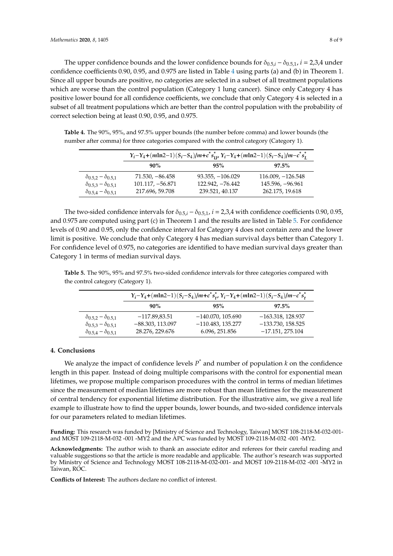The upper confidence bounds and the lower confidence bounds for  $\delta_{0.5,i} - \delta_{0.5,1}$ , *i* = 2,3,4 under confidence coefficients 0.90, 0.95, and 0.975 are listed in Table [4](#page-7-1) using parts (a) and (b) in Theorem 1. Since all upper bounds are positive, no categories are selected in a subset of all treatment populations which are worse than the control population (Category 1 lung cancer). Since only Category 4 has positive lower bound for all confidence coefficients, we conclude that only Category 4 is selected in a subset of all treatment populations which are better than the control population with the probability of correct selection being at least 0.90, 0.95, and 0.975.

 $Y_i - Y_4 + (mln2-1)(S_i - S_4)/m + c^* s^*_{U'} Y_i - Y_4 + (mln2-1)(S_i - S_4)/m - c^* s$ **\*** *L* **90% 95% 97.5%**  $\delta_{0.5,2} - \delta_{0.5,1}$  71.530, −86.458 93.355, −106.029 116.009, −126.548<br>  $\delta_{0.5,3} - \delta_{0.5,1}$  101.117, −56.871 122.942, −76.442 145.596, −96.961  $\delta_{0.5,3} - \delta_{0.5,1}$  101.117, -56.871 122.942, -76.442 145.596, -96.961<br>  $\delta_{0.5,4} - \delta_{0.5,1}$  217.696, 59.708 239.521, 40.137 262.175, 19.618 217.696, 59.708

<span id="page-7-1"></span>**Table 4.** The 90%, 95%, and 97.5% upper bounds (the number before comma) and lower bounds (the

number after comma) for three categories compared with the control category (Category 1).

The two-sided confidence intervals for  $\delta_{0.5,i}$  −  $\delta_{0.5,1}$ , *i* = 2,3,4 with confidence coefficients 0.90, 0.95, and 0.975 are computed using part (c) in Theorem 1 and the results are listed in Table [5.](#page-7-2) For confidence levels of 0.90 and 0.95, only the confidence interval for Category 4 does not contain zero and the lower limit is positive. We conclude that only Category 4 has median survival days better than Category 1. For confidence level of 0.975, no categories are identified to have median survival days greater than Category 1 in terms of median survival days.

<span id="page-7-2"></span>**Table 5.** The 90%, 95% and 97.5% two-sided confidence intervals for three categories compared with the control category (Category 1).

|                                   | $Y_i - Y_4 + (mln2-1)(S_i - S_4)/m + c^*s_{i}^*$ , $Y_i - Y_4 + (mln2-1)(S_i - S_4)/m - c^*s_i^*$ |                     |                     |  |  |  |
|-----------------------------------|---------------------------------------------------------------------------------------------------|---------------------|---------------------|--|--|--|
|                                   | $90\%$                                                                                            | 95%                 | $97.5\%$            |  |  |  |
| $\delta_{0.5,2} - \delta_{0.5,1}$ | $-117.89.83.51$                                                                                   | $-140.070, 105.690$ | $-163.318, 128.937$ |  |  |  |
| $\delta_{0.5,3} - \delta_{0.5,1}$ | $-88.303, 113.097$                                                                                | $-110.483, 135.277$ | $-133.730, 158.525$ |  |  |  |
| $\delta_{0.5,4} - \delta_{0.5,1}$ | 28.276, 229.676                                                                                   | 6.096, 251.856      | $-17.151, 275.104$  |  |  |  |

#### <span id="page-7-0"></span>**4. Conclusions**

We analyze the impact of confidence levels *P \** and number of population *k* on the confidence length in this paper. Instead of doing multiple comparisons with the control for exponential mean lifetimes, we propose multiple comparison procedures with the control in terms of median lifetimes since the measurement of median lifetimes are more robust than mean lifetimes for the measurement of central tendency for exponential lifetime distribution. For the illustrative aim, we give a real life example to illustrate how to find the upper bounds, lower bounds, and two-sided confidence intervals for our parameters related to median lifetimes.

**Funding:** This research was funded by [Ministry of Science and Technology, Taiwan] MOST 108-2118-M-032-001 and MOST 109-2118-M-032 -001 -MY2 and the APC was funded by MOST 109-2118-M-032 -001 -MY2.

**Acknowledgments:** The author wish to thank an associate editor and referees for their careful reading and valuable suggestions so that the article is more readable and applicable. The author's research was supported by Ministry of Science and Technology MOST 108-2118-M-032-001- and MOST 109-2118-M-032 -001 -MY2 in Taiwan, ROC.

**Conflicts of Interest:** The authors declare no conflict of interest.